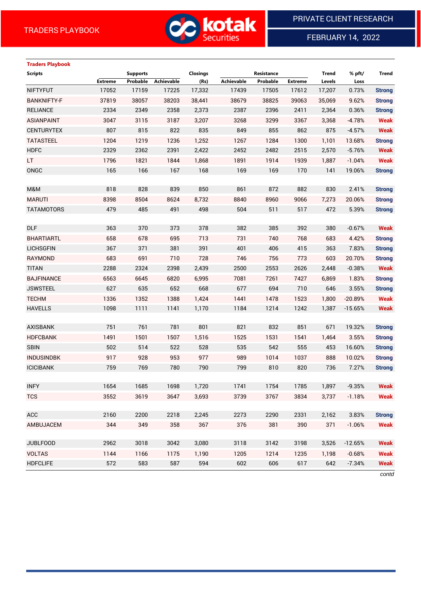

FEBRUARY 14, 2022

# **Traders Playbook**

| <b>Scripts</b>     |                | <b>Supports</b> |            | <b>Closings</b> |            | Resistance |                | <b>Trend</b> | % pft/    | <b>Trend</b>  |
|--------------------|----------------|-----------------|------------|-----------------|------------|------------|----------------|--------------|-----------|---------------|
|                    | <b>Extreme</b> | Probable        | Achievable | (Rs)            | Achievable | Probable   | <b>Extreme</b> | Levels       | Loss      |               |
| <b>NIFTYFUT</b>    | 17052          | 17159           | 17225      | 17,332          | 17439      | 17505      | 17612          | 17,207       | 0.73%     | <b>Strong</b> |
| <b>BANKNIFTY-F</b> | 37819          | 38057           | 38203      | 38,441          | 38679      | 38825      | 39063          | 35,069       | 9.62%     | <b>Strong</b> |
| <b>RELIANCE</b>    | 2334           | 2349            | 2358       | 2,373           | 2387       | 2396       | 2411           | 2,364        | 0.36%     | <b>Strong</b> |
| <b>ASIANPAINT</b>  | 3047           | 3115            | 3187       | 3,207           | 3268       | 3299       | 3367           | 3,368        | $-4.78%$  | <b>Weak</b>   |
| <b>CENTURYTEX</b>  | 807            | 815             | 822        | 835             | 849        | 855        | 862            | 875          | $-4.57%$  | <b>Weak</b>   |
| <b>TATASTEEL</b>   | 1204           | 1219            | 1236       | 1,252           | 1267       | 1284       | 1300           | 1,101        | 13.68%    | <b>Strong</b> |
| <b>HDFC</b>        | 2329           | 2362            | 2391       | 2,422           | 2452       | 2482       | 2515           | 2,570        | $-5.76%$  | <b>Weak</b>   |
| LT.                | 1796           | 1821            | 1844       | 1,868           | 1891       | 1914       | 1939           | 1,887        | $-1.04%$  | <b>Weak</b>   |
| ONGC               | 165            | 166             | 167        | 168             | 169        | 169        | 170            | 141          | 19.06%    | <b>Strong</b> |
|                    |                |                 |            |                 |            |            |                |              |           |               |
| M&M                | 818            | 828             | 839        | 850             | 861        | 872        | 882            | 830          | 2.41%     | <b>Strong</b> |
| <b>MARUTI</b>      | 8398           | 8504            | 8624       | 8,732           | 8840       | 8960       | 9066           | 7,273        | 20.06%    | <b>Strong</b> |
| <b>TATAMOTORS</b>  | 479            | 485             | 491        | 498             | 504        | 511        | 517            | 472          | 5.39%     | <b>Strong</b> |
|                    |                |                 |            |                 |            |            |                |              |           |               |
| <b>DLF</b>         | 363            | 370             | 373        | 378             | 382        | 385        | 392            | 380          | $-0.67%$  | <b>Weak</b>   |
| <b>BHARTIARTL</b>  | 658            | 678             | 695        | 713             | 731        | 740        | 768            | 683          | 4.42%     | <b>Strong</b> |
| <b>LICHSGFIN</b>   | 367            | 371             | 381        | 391             | 401        | 406        | 415            | 363          | 7.83%     | <b>Strong</b> |
| RAYMOND            | 683            | 691             | 710        | 728             | 746        | 756        | 773            | 603          | 20.70%    | <b>Strong</b> |
| <b>TITAN</b>       | 2288           | 2324            | 2398       | 2,439           | 2500       | 2553       | 2626           | 2,448        | $-0.38%$  | <b>Weak</b>   |
| <b>BAJFINANCE</b>  | 6563           | 6645            | 6820       | 6,995           | 7081       | 7261       | 7427           | 6,869        | 1.83%     | <b>Strong</b> |
| <b>JSWSTEEL</b>    | 627            | 635             | 652        | 668             | 677        | 694        | 710            | 646          | 3.55%     | <b>Strong</b> |
| <b>TECHM</b>       | 1336           | 1352            | 1388       | 1,424           | 1441       | 1478       | 1523           | 1,800        | $-20.89%$ | <b>Weak</b>   |
| <b>HAVELLS</b>     | 1098           | 1111            | 1141       | 1,170           | 1184       | 1214       | 1242           | 1,387        | $-15.65%$ | <b>Weak</b>   |
|                    |                |                 |            |                 |            |            |                |              |           |               |
| <b>AXISBANK</b>    | 751            | 761             | 781        | 801             | 821        | 832        | 851            | 671          | 19.32%    | <b>Strong</b> |
| <b>HDFCBANK</b>    | 1491           | 1501            | 1507       | 1,516           | 1525       | 1531       | 1541           | 1,464        | 3.55%     | <b>Strong</b> |
| <b>SBIN</b>        | 502            | 514             | 522        | 528             | 535        | 542        | 555            | 453          | 16.60%    | <b>Strong</b> |
| <b>INDUSINDBK</b>  | 917            | 928             | 953        | 977             | 989        | 1014       | 1037           | 888          | 10.02%    | <b>Strong</b> |
| <b>ICICIBANK</b>   | 759            | 769             | 780        | 790             | 799        | 810        | 820            | 736          | 7.27%     | <b>Strong</b> |
|                    |                |                 |            |                 |            |            |                |              |           |               |
| <b>INFY</b>        | 1654           | 1685            | 1698       | 1,720           | 1741       | 1754       | 1785           | 1,897        | $-9.35%$  | <b>Weak</b>   |
| <b>TCS</b>         | 3552           | 3619            | 3647       | 3,693           | 3739       | 3767       | 3834           | 3,737        | $-1.18%$  | <b>Weak</b>   |
|                    |                |                 |            |                 |            |            |                |              |           |               |
| <b>ACC</b>         | 2160           | 2200            | 2218       | 2,245           | 2273       | 2290       | 2331           | 2,162        | 3.83%     | <b>Strong</b> |
| AMBUJACEM          | 344            | 349             | 358        | 367             | 376        | 381        | 390            | 371          | $-1.06%$  | <b>Weak</b>   |
|                    |                |                 |            |                 |            |            |                |              |           |               |
| <b>JUBLFOOD</b>    | 2962           | 3018            | 3042       | 3,080           | 3118       | 3142       | 3198           | 3,526        | $-12.65%$ | <b>Weak</b>   |
| <b>VOLTAS</b>      | 1144           | 1166            | 1175       | 1,190           | 1205       | 1214       | 1235           | 1,198        | $-0.68%$  | <b>Weak</b>   |
| <b>HDFCLIFE</b>    | 572            | 583             | 587        | 594             | 602        | 606        | 617            | 642          | $-7.34%$  | <b>Weak</b>   |
|                    |                |                 |            |                 |            |            |                |              |           |               |

*contd*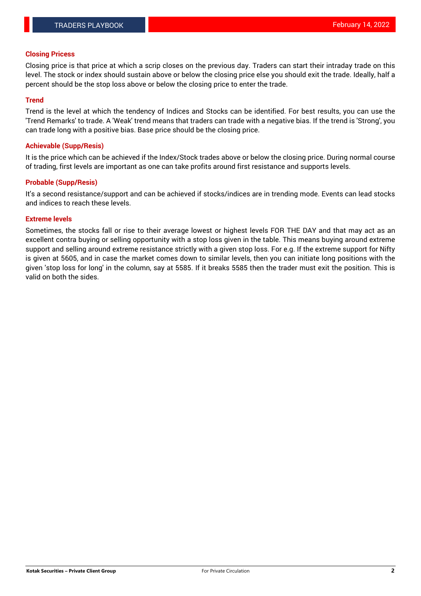### **Closing Pricess**

Closing price is that price at which a scrip closes on the previous day. Traders can start their intraday trade on this level. The stock or index should sustain above or below the closing price else you should exit the trade. Ideally, half a percent should be the stop loss above or below the closing price to enter the trade.

# **Trend**

Trend is the level at which the tendency of Indices and Stocks can be identified. For best results, you can use the 'Trend Remarks' to trade. A 'Weak' trend means that traders can trade with a negative bias. If the trend is 'Strong', you can trade long with a positive bias. Base price should be the closing price.

### **Achievable (Supp/Resis)**

It is the price which can be achieved if the Index/Stock trades above or below the closing price. During normal course of trading, first levels are important as one can take profits around first resistance and supports levels.

# **Probable (Supp/Resis)**

It's a second resistance/support and can be achieved if stocks/indices are in trending mode. Events can lead stocks and indices to reach these levels.

#### **Extreme levels**

Sometimes, the stocks fall or rise to their average lowest or highest levels FOR THE DAY and that may act as an excellent contra buying or selling opportunity with a stop loss given in the table. This means buying around extreme support and selling around extreme resistance strictly with a given stop loss. For e.g. If the extreme support for Nifty is given at 5605, and in case the market comes down to similar levels, then you can initiate long positions with the given 'stop loss for long' in the column, say at 5585. If it breaks 5585 then the trader must exit the position. This is valid on both the sides.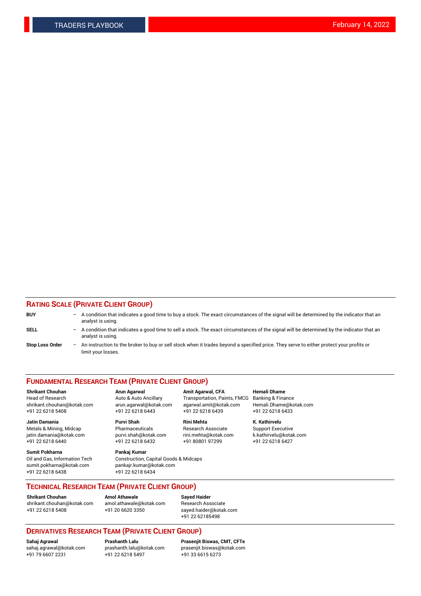# **RATING SCALE (PRIVATE CLIENT GROUP)**

| <b>BUY</b>             | -                 | A condition that indicates a good time to buy a stock. The exact circumstances of the signal will be determined by the indicator that an<br>analyst is using.  |
|------------------------|-------------------|----------------------------------------------------------------------------------------------------------------------------------------------------------------|
| <b>SELL</b>            | -                 | A condition that indicates a good time to sell a stock. The exact circumstances of the signal will be determined by the indicator that an<br>analyst is using. |
| <b>Stop Loss Order</b> | $\qquad \qquad -$ | An instruction to the broker to buy or sell stock when it trades beyond a specified price. They serve to either protect your profits or<br>limit your losses.  |

#### **FUNDAMENTAL RESEARCH TEAM (PRIVATE CLIENT GROUP)**

**Shrikant Chouhan Arun Agarwal Amit Agarwal, CFA Hemali Dhame**

**Jatin Damania Purvi Shah Rini Mehta K. Kathirvelu** Metals & Mining, Midcap **Pharmaceuticals** Research Associate Support Executive jatin.damania@kotak.com [purvi.shah@kotak.com](mailto:purvi.shah@kotak.com) rini.mehta@kotak.com [k.kathirvelu@kotak.com](mailto:k.kathirvelu@kotak.com)  $+91$  22 6218 6440  $+91$  22 6218 6432

**Sumit Pokharna Pankaj Kumar** sumit.pokharna@kotak.com pankajr.kumar@kotak.com +91 22 6218 6438 +91 22 6218 6434

Oil and Gas, Information Tech Construction, Capital Goods & Midcaps

Head of Research Auto & Auto Ancillary Transportation, Paints, FMCG Banking & Finance shrikant.chouhan@kotak.com arun.agarwal@kotak.com agarwal.amit@kotak.com Hemali.Dhame@kotak.com +91 22 6218 5408 +91 22 6218 6443 +91 22 6218 6439 +91 22 6218 6433

**TECHNICAL RESEARCH TEAM (PRIVATE CLIENT GROUP)**

**Shrikant Chouhan Amol Athawale Sayed Haider** [shrikant.chouhan@kotak.com](mailto:shrikant.chouhan@kotak.com) [amol.athawale@kotak.com](mailto:amol.athawale@kotak.com) Research Associate +91 22 6218 5408 +91 20 6620 3350 [sayed.haider@kotak.com](mailto:sayed.haider@kotak.com)

+91 22 62185498

# **DERIVATIVES RESEARCH TEAM (PRIVATE CLIENT GROUP)**

 $+91$  22 6218 5497

**Sahaj Agrawal Prashanth Lalu Prasenjit Biswas, CMT, CFTe** [sahaj.agrawal@kotak.com](mailto:sahaj.agrawal@kotak.com) [prashanth.lalu@kotak.com](mailto:prashanth.lalu@kotak.com) [prasenjit.biswas@kotak.com](mailto:prasenjit.biswas@kotak.com)